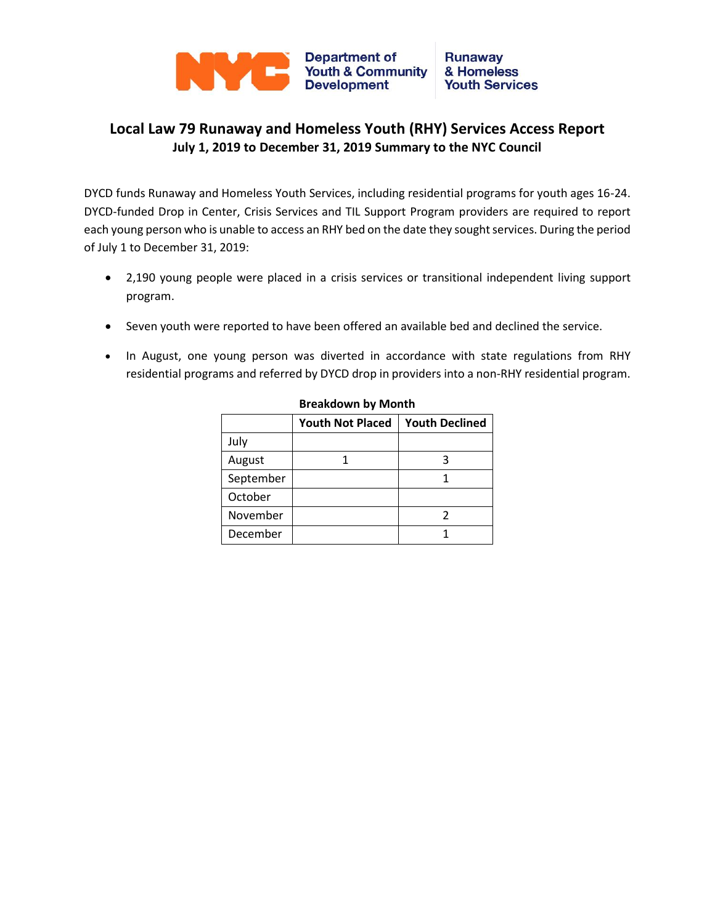

## **Local Law 79 Runaway and Homeless Youth (RHY) Services Access Report July 1, 2019 to December 31, 2019 Summary to the NYC Council**

DYCD funds Runaway and Homeless Youth Services, including residential programs for youth ages 16-24. DYCD-funded Drop in Center, Crisis Services and TIL Support Program providers are required to report each young person who is unable to access an RHY bed on the date they sought services. During the period of July 1 to December 31, 2019:

- 2,190 young people were placed in a crisis services or transitional independent living support program.
- Seven youth were reported to have been offered an available bed and declined the service.
- In August, one young person was diverted in accordance with state regulations from RHY residential programs and referred by DYCD drop in providers into a non-RHY residential program.

|           | <b>Youth Not Placed</b> | <b>Youth Declined</b> |  |  |
|-----------|-------------------------|-----------------------|--|--|
| July      |                         |                       |  |  |
| August    |                         |                       |  |  |
| September |                         |                       |  |  |
| October   |                         |                       |  |  |
| November  |                         |                       |  |  |
| December  |                         |                       |  |  |

**Breakdown by Month**